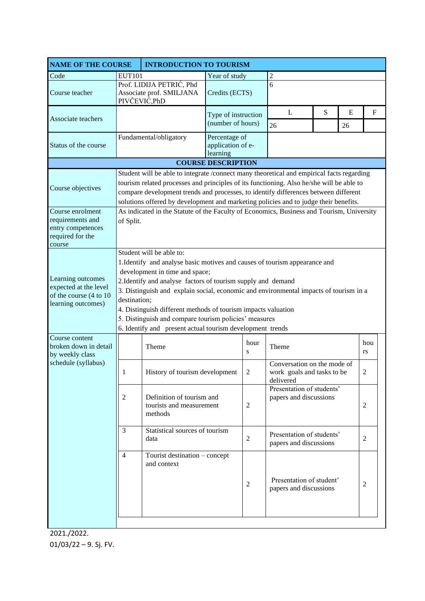| <b>NAME OF THE COURSE</b>                                                                  |                                                                                                                                                                                                                                                                                                                                                                                                                                                                                                          | <b>INTRODUCTION TO TOURISM</b>                                        |                                                |                |                                                                        |   |           |                  |  |
|--------------------------------------------------------------------------------------------|----------------------------------------------------------------------------------------------------------------------------------------------------------------------------------------------------------------------------------------------------------------------------------------------------------------------------------------------------------------------------------------------------------------------------------------------------------------------------------------------------------|-----------------------------------------------------------------------|------------------------------------------------|----------------|------------------------------------------------------------------------|---|-----------|------------------|--|
| Code                                                                                       | <b>EUT101</b>                                                                                                                                                                                                                                                                                                                                                                                                                                                                                            |                                                                       | Year of study                                  |                | $\overline{2}$                                                         |   |           |                  |  |
| Course teacher                                                                             |                                                                                                                                                                                                                                                                                                                                                                                                                                                                                                          | Prof. LIDIJA PETRIĆ, Phd<br>Associate prof. SMILJANA<br>PIVČEVIĆ, PhD | Credits (ECTS)                                 |                | 6                                                                      |   |           |                  |  |
| Associate teachers                                                                         |                                                                                                                                                                                                                                                                                                                                                                                                                                                                                                          |                                                                       | Type of instruction<br>(number of hours)       |                | L                                                                      | S | ${\bf E}$ | $\mathbf F$      |  |
| Status of the course                                                                       |                                                                                                                                                                                                                                                                                                                                                                                                                                                                                                          | Fundamental/obligatory                                                | Percentage of<br>application of e-<br>learning |                | 26<br>26                                                               |   |           |                  |  |
| <b>COURSE DESCRIPTION</b>                                                                  |                                                                                                                                                                                                                                                                                                                                                                                                                                                                                                          |                                                                       |                                                |                |                                                                        |   |           |                  |  |
| Course objectives                                                                          | Student will be able to integrate /connect many theoretical and empirical facts regarding<br>tourism related processes and principles of its functioning. Also he/she will be able to<br>compare development trends and processes, to identify differences between different<br>solutions offered by development and marketing policies and to judge their benefits.                                                                                                                                     |                                                                       |                                                |                |                                                                        |   |           |                  |  |
| Course enrolment<br>requirements and<br>entry competences<br>required for the<br>course    | As indicated in the Statute of the Faculty of Economics, Business and Tourism, University<br>of Split.                                                                                                                                                                                                                                                                                                                                                                                                   |                                                                       |                                                |                |                                                                        |   |           |                  |  |
| Learning outcomes<br>expected at the level<br>of the course (4 to 10<br>learning outcomes) | Student will be able to:<br>1. Identify and analyse basic motives and causes of tourism appearance and<br>development in time and space;<br>2. Identify and analyse factors of tourism supply and demand<br>3. Distinguish and explain social, economic and environmental impacts of tourism in a<br>destination;<br>4. Distinguish different methods of tourism impacts valuation<br>5. Distinguish and compare tourism policies' measures<br>6. Identify and present actual tourism development trends |                                                                       |                                                |                |                                                                        |   |           |                  |  |
| Course content<br>broken down in detail<br>by weekly class<br>schedule (syllabus)          |                                                                                                                                                                                                                                                                                                                                                                                                                                                                                                          | Theme                                                                 |                                                | hour<br>S      | Theme                                                                  |   |           | hou<br><b>rs</b> |  |
|                                                                                            | 1                                                                                                                                                                                                                                                                                                                                                                                                                                                                                                        | History of tourism development                                        |                                                | 2              | Conversation on the mode of<br>work goals and tasks to be<br>delivered |   |           | 2                |  |
|                                                                                            | $\overline{2}$<br>Definition of tourism and<br>tourists and measurement<br>methods                                                                                                                                                                                                                                                                                                                                                                                                                       |                                                                       |                                                | $\overline{c}$ | Presentation of students'<br>papers and discussions                    |   |           | $\overline{2}$   |  |
|                                                                                            | 3                                                                                                                                                                                                                                                                                                                                                                                                                                                                                                        | Statistical sources of tourism<br>data                                |                                                | $\mathfrak{2}$ | Presentation of students'<br>papers and discussions                    |   |           | 2                |  |
|                                                                                            | $\overline{4}$                                                                                                                                                                                                                                                                                                                                                                                                                                                                                           | Tourist destination – concept<br>and context                          |                                                | $\mathfrak{2}$ | Presentation of student'<br>papers and discussions                     |   |           | $\overline{2}$   |  |

2021./2022. 01/03/22 – 9. Sj. FV.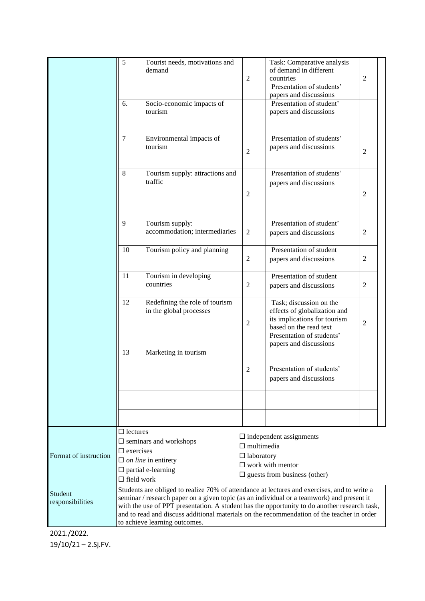|                             | 5<br>6.                                                                                                                                                                                                                                                                                                                                                                                                                 | Tourist needs, motivations and<br>demand<br>Socio-economic impacts of<br>tourism            | $\mathfrak{2}$                                                                                                                             | Task: Comparative analysis<br>of demand in different<br>countries<br>Presentation of students'<br>papers and discussions<br>Presentation of student'<br>papers and discussions | $\overline{2}$ |  |
|-----------------------------|-------------------------------------------------------------------------------------------------------------------------------------------------------------------------------------------------------------------------------------------------------------------------------------------------------------------------------------------------------------------------------------------------------------------------|---------------------------------------------------------------------------------------------|--------------------------------------------------------------------------------------------------------------------------------------------|--------------------------------------------------------------------------------------------------------------------------------------------------------------------------------|----------------|--|
|                             | $\overline{7}$                                                                                                                                                                                                                                                                                                                                                                                                          | Environmental impacts of<br>tourism                                                         | $\overline{2}$                                                                                                                             | Presentation of students'<br>papers and discussions                                                                                                                            | $\overline{2}$ |  |
|                             | 8                                                                                                                                                                                                                                                                                                                                                                                                                       | Tourism supply: attractions and<br>traffic                                                  | 2                                                                                                                                          | Presentation of students'<br>papers and discussions                                                                                                                            | 2              |  |
|                             | 9                                                                                                                                                                                                                                                                                                                                                                                                                       | Tourism supply:<br>accommodation; intermediaries                                            |                                                                                                                                            | Presentation of student'<br>papers and discussions                                                                                                                             | 2              |  |
| 10                          |                                                                                                                                                                                                                                                                                                                                                                                                                         | Tourism policy and planning                                                                 | $\mathfrak{2}$                                                                                                                             | Presentation of student<br>papers and discussions                                                                                                                              | $\mathfrak{2}$ |  |
| 11                          |                                                                                                                                                                                                                                                                                                                                                                                                                         | Tourism in developing<br>countries                                                          | Presentation of student<br>papers and discussions                                                                                          | 2                                                                                                                                                                              |                |  |
|                             | 12                                                                                                                                                                                                                                                                                                                                                                                                                      | Redefining the role of tourism<br>in the global processes                                   | $\overline{2}$                                                                                                                             | Task; discussion on the<br>effects of globalization and<br>its implications for tourism<br>based on the read text<br>Presentation of students'<br>papers and discussions       | $\overline{2}$ |  |
|                             | 13                                                                                                                                                                                                                                                                                                                                                                                                                      | Marketing in tourism                                                                        | 2                                                                                                                                          | Presentation of students'<br>papers and discussions                                                                                                                            |                |  |
|                             |                                                                                                                                                                                                                                                                                                                                                                                                                         |                                                                                             |                                                                                                                                            |                                                                                                                                                                                |                |  |
| Format of instruction       | $\Box$ lectures<br>$\Box$ exercises<br>$\Box$ field work                                                                                                                                                                                                                                                                                                                                                                | $\square$ seminars and workshops<br>$\Box$ on line in entirety<br>$\Box$ partial e-learning | $\Box$ independent assignments<br>$\Box$ multimedia<br>$\Box$ laboratory<br>$\Box$ work with mentor<br>$\Box$ guests from business (other) |                                                                                                                                                                                |                |  |
| Student<br>responsibilities | Students are obliged to realize 70% of attendance at lectures and exercises, and to write a<br>seminar / research paper on a given topic (as an individual or a teamwork) and present it<br>with the use of PPT presentation. A student has the opportunity to do another research task,<br>and to read and discuss additional materials on the recommendation of the teacher in order<br>to achieve learning outcomes. |                                                                                             |                                                                                                                                            |                                                                                                                                                                                |                |  |

2021./2022. 19/10/21 – 2.Sj.FV.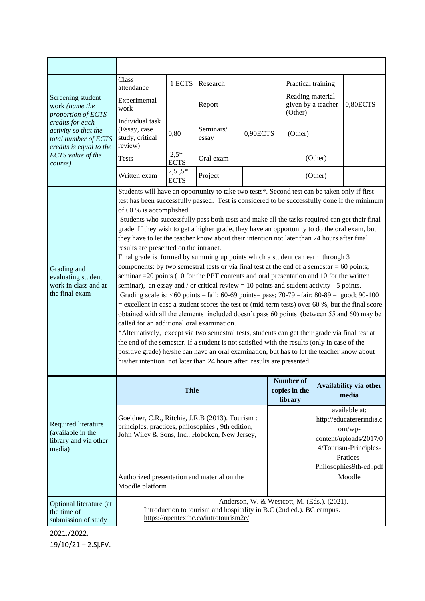| Screening student<br>work (name the<br>proportion of ECTS<br>credits for each<br>activity so that the<br>total number of ECTS<br>credits is equal to the<br>ECTS value of the<br>course) | Class<br>attendance                                                                                                                                                                                                                                                                                                                                                                                                                                                                                                                                                                                                                                                                                                                                                                                                                                                                                                                                                                                                                                                                                                                                                                                                                                                                                                                                                                                                                                                                                                                                                                                                                                                       | 1 ECTS                  | Research           |                                       | Practical training          |                                 |                                                                                                                                                        |
|------------------------------------------------------------------------------------------------------------------------------------------------------------------------------------------|---------------------------------------------------------------------------------------------------------------------------------------------------------------------------------------------------------------------------------------------------------------------------------------------------------------------------------------------------------------------------------------------------------------------------------------------------------------------------------------------------------------------------------------------------------------------------------------------------------------------------------------------------------------------------------------------------------------------------------------------------------------------------------------------------------------------------------------------------------------------------------------------------------------------------------------------------------------------------------------------------------------------------------------------------------------------------------------------------------------------------------------------------------------------------------------------------------------------------------------------------------------------------------------------------------------------------------------------------------------------------------------------------------------------------------------------------------------------------------------------------------------------------------------------------------------------------------------------------------------------------------------------------------------------------|-------------------------|--------------------|---------------------------------------|-----------------------------|---------------------------------|--------------------------------------------------------------------------------------------------------------------------------------------------------|
|                                                                                                                                                                                          | Experimental<br>work                                                                                                                                                                                                                                                                                                                                                                                                                                                                                                                                                                                                                                                                                                                                                                                                                                                                                                                                                                                                                                                                                                                                                                                                                                                                                                                                                                                                                                                                                                                                                                                                                                                      |                         | Report             |                                       | Reading material<br>(Other) | given by a teacher              | 0,80ECTS                                                                                                                                               |
|                                                                                                                                                                                          | Individual task<br>(Essay, case<br>study, critical<br>review)                                                                                                                                                                                                                                                                                                                                                                                                                                                                                                                                                                                                                                                                                                                                                                                                                                                                                                                                                                                                                                                                                                                                                                                                                                                                                                                                                                                                                                                                                                                                                                                                             | 0,80                    | Seminars/<br>essay | 0,90ECTS                              | (Other)                     |                                 |                                                                                                                                                        |
|                                                                                                                                                                                          | <b>Tests</b>                                                                                                                                                                                                                                                                                                                                                                                                                                                                                                                                                                                                                                                                                                                                                                                                                                                                                                                                                                                                                                                                                                                                                                                                                                                                                                                                                                                                                                                                                                                                                                                                                                                              | $2.5*$<br><b>ECTS</b>   | Oral exam          |                                       |                             | (Other)                         |                                                                                                                                                        |
|                                                                                                                                                                                          | Written exam                                                                                                                                                                                                                                                                                                                                                                                                                                                                                                                                                                                                                                                                                                                                                                                                                                                                                                                                                                                                                                                                                                                                                                                                                                                                                                                                                                                                                                                                                                                                                                                                                                                              | $2,5,5*$<br><b>ECTS</b> | Project            |                                       |                             | (Other)                         |                                                                                                                                                        |
| Grading and<br>evaluating student<br>work in class and at<br>the final exam                                                                                                              | Students will have an opportunity to take two tests*. Second test can be taken only if first<br>test has been successfully passed. Test is considered to be successfully done if the minimum<br>of 60 % is accomplished.<br>Students who successfully pass both tests and make all the tasks required can get their final<br>grade. If they wish to get a higher grade, they have an opportunity to do the oral exam, but<br>they have to let the teacher know about their intention not later than 24 hours after final<br>results are presented on the intranet.<br>Final grade is formed by summing up points which a student can earn through 3<br>components: by two semestral tests or via final test at the end of a semestar $= 60$ points;<br>seminar $=$ 20 points (10 for the PPT contents and oral presentation and 10 for the written<br>seminar), an essay and / or critical review $= 10$ points and student activity - 5 points.<br>Grading scale is: <60 points - fail; 60-69 points = pass; 70-79 = fair; 80-89 = good; 90-100<br>= excellent In case a student scores the test or (mid-term tests) over 60 %, but the final score<br>obtained with all the elements included doesn't pass 60 points (between 55 and 60) may be<br>called for an additional oral examination.<br>*Alternatively, except via two semestral tests, students can get their grade via final test at<br>the end of the semester. If a student is not satisfied with the results (only in case of the<br>positive grade) he/she can have an oral examination, but has to let the teacher know about<br>his/her intention not later than 24 hours after results are presented. |                         |                    |                                       |                             |                                 |                                                                                                                                                        |
| Required literature<br>(available in the<br>library and via other<br>media)                                                                                                              | <b>Title</b>                                                                                                                                                                                                                                                                                                                                                                                                                                                                                                                                                                                                                                                                                                                                                                                                                                                                                                                                                                                                                                                                                                                                                                                                                                                                                                                                                                                                                                                                                                                                                                                                                                                              |                         |                    | Number of<br>copies in the<br>library |                             | Availability via other<br>media |                                                                                                                                                        |
|                                                                                                                                                                                          | Goeldner, C.R., Ritchie, J.R.B (2013). Tourism :<br>principles, practices, philosophies, 9th edition,<br>John Wiley & Sons, Inc., Hoboken, New Jersey,<br>Authorized presentation and material on the<br>Moodle platform                                                                                                                                                                                                                                                                                                                                                                                                                                                                                                                                                                                                                                                                                                                                                                                                                                                                                                                                                                                                                                                                                                                                                                                                                                                                                                                                                                                                                                                  |                         |                    |                                       |                             |                                 | available at:<br>http://educatererindia.c<br>om/wp-<br>content/uploads/2017/0<br>4/Tourism-Principles-<br>Pratices-<br>Philosophies9th-edpdf<br>Moodle |
| Optional literature (at<br>the time of<br>submission of study                                                                                                                            | Anderson, W. & Westcott, M. (Eds.). (2021).<br>Introduction to tourism and hospitality in B.C (2nd ed.). BC campus.<br>https://opentextbc.ca/introtourism2e/                                                                                                                                                                                                                                                                                                                                                                                                                                                                                                                                                                                                                                                                                                                                                                                                                                                                                                                                                                                                                                                                                                                                                                                                                                                                                                                                                                                                                                                                                                              |                         |                    |                                       |                             |                                 |                                                                                                                                                        |

2021./2022. 19/10/21 – 2.Sj.FV.